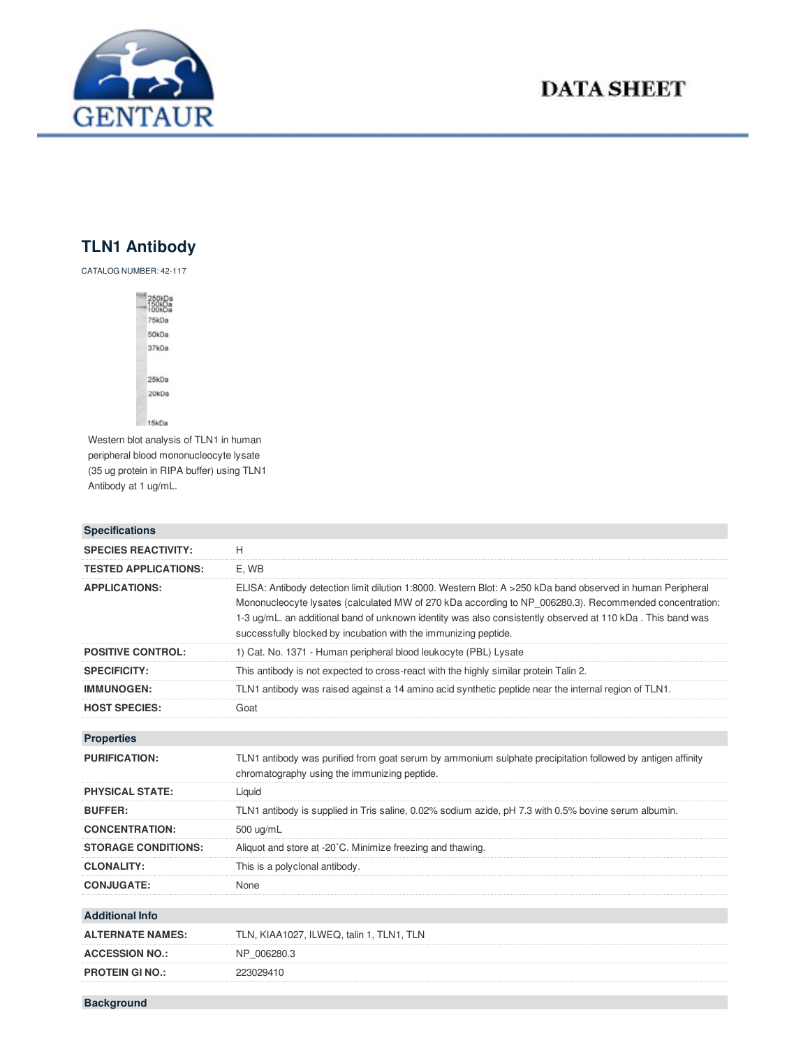

## **DATA SHEET**

## **TLN1 Antibody**

CATALOG NUMBER: 42-117



Western blot analysis of TLN1 in human peripheral blood mononucleocyte lysate (35 ug protein in RIPA buffer) using TLN1 Antibody at 1 ug/mL.

| <b>Specifications</b>       |                                                                                                                                                                                                                                                                                                                                                                                                        |
|-----------------------------|--------------------------------------------------------------------------------------------------------------------------------------------------------------------------------------------------------------------------------------------------------------------------------------------------------------------------------------------------------------------------------------------------------|
| <b>SPECIES REACTIVITY:</b>  | H                                                                                                                                                                                                                                                                                                                                                                                                      |
| <b>TESTED APPLICATIONS:</b> | E, WB                                                                                                                                                                                                                                                                                                                                                                                                  |
| <b>APPLICATIONS:</b>        | ELISA: Antibody detection limit dilution 1:8000. Western Blot: A >250 kDa band observed in human Peripheral<br>Mononucleocyte lysates (calculated MW of 270 kDa according to NP 006280.3). Recommended concentration:<br>1-3 ug/mL. an additional band of unknown identity was also consistently observed at 110 kDa. This band was<br>successfully blocked by incubation with the immunizing peptide. |
| <b>POSITIVE CONTROL:</b>    | 1) Cat. No. 1371 - Human peripheral blood leukocyte (PBL) Lysate                                                                                                                                                                                                                                                                                                                                       |
| <b>SPECIFICITY:</b>         | This antibody is not expected to cross-react with the highly similar protein Talin 2.                                                                                                                                                                                                                                                                                                                  |
| <b>IMMUNOGEN:</b>           | TLN1 antibody was raised against a 14 amino acid synthetic peptide near the internal region of TLN1.                                                                                                                                                                                                                                                                                                   |
| <b>HOST SPECIES:</b>        | Goat                                                                                                                                                                                                                                                                                                                                                                                                   |
|                             |                                                                                                                                                                                                                                                                                                                                                                                                        |
| <b>Properties</b>           |                                                                                                                                                                                                                                                                                                                                                                                                        |
| <b>PURIFICATION:</b>        | TLN1 antibody was purified from goat serum by ammonium sulphate precipitation followed by antigen affinity<br>chromatography using the immunizing peptide.                                                                                                                                                                                                                                             |
| <b>PHYSICAL STATE:</b>      | Liquid                                                                                                                                                                                                                                                                                                                                                                                                 |
| <b>BUFFER:</b>              | TLN1 antibody is supplied in Tris saline, 0.02% sodium azide, pH 7.3 with 0.5% bovine serum albumin.                                                                                                                                                                                                                                                                                                   |
| <b>CONCENTRATION:</b>       | 500 ug/mL                                                                                                                                                                                                                                                                                                                                                                                              |
| <b>STORAGE CONDITIONS:</b>  | Aliquot and store at -20°C. Minimize freezing and thawing.                                                                                                                                                                                                                                                                                                                                             |
| <b>CLONALITY:</b>           | This is a polyclonal antibody.                                                                                                                                                                                                                                                                                                                                                                         |
| <b>CONJUGATE:</b>           | None                                                                                                                                                                                                                                                                                                                                                                                                   |
|                             |                                                                                                                                                                                                                                                                                                                                                                                                        |
| <b>Additional Info</b>      |                                                                                                                                                                                                                                                                                                                                                                                                        |
| <b>ALTERNATE NAMES:</b>     | TLN, KIAA1027, ILWEQ, talin 1, TLN1, TLN                                                                                                                                                                                                                                                                                                                                                               |
| <b>ACCESSION NO.:</b>       | NP 006280.3                                                                                                                                                                                                                                                                                                                                                                                            |
| <b>PROTEIN GI NO.:</b>      | 223029410                                                                                                                                                                                                                                                                                                                                                                                              |
| <b>Background</b>           |                                                                                                                                                                                                                                                                                                                                                                                                        |